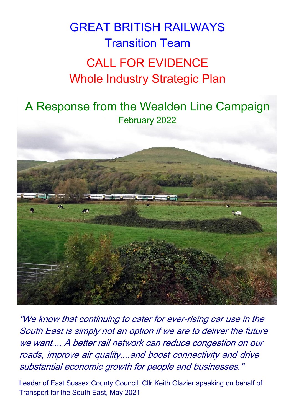# GREAT BRITISH RAILWAYS Transition Team CALL FOR EVIDENCE Whole Industry Strategic Plan

A Response from the Wealden Line Campaign February 2022



*"We know that continuing to cater for ever-rising car use in the South East is simply not an option if we are to deliver the future we want.... A better rail network can reduce congestion on our roads, improve air quality....and boost connectivity and drive substantial economic growth for people and businesses."*

Leader of East Sussex County Council, Cllr Keith Glazier speaking on behalf of Transport for the South East, May 2021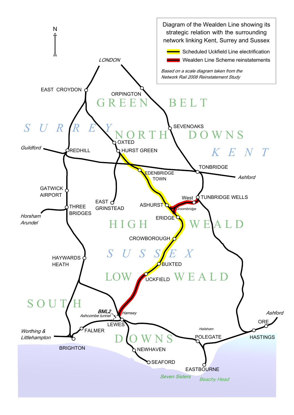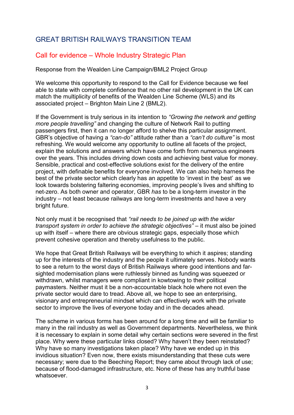## GREAT BRITISH RAILWAYS TRANSITION TEAM

## Call for evidence – Whole Industry Strategic Plan

Response from the Wealden Line Campaign/BML2 Project Group

We welcome this opportunity to respond to the Call for Evidence because we feel able to state with complete confidence that no other rail development in the UK can match the multiplicity of benefits of the Wealden Line Scheme (WLS) and its associated project – Brighton Main Line 2 (BML2).

If the Government is truly serious in its intention to *"Growing the network and getting more people travelling"* and changing the culture of Network Rail to putting passengers first, then it can no longer afford to shelve this particular assignment. GBR's objective of having a *"can-do"* attitude rather than a *"can't do culture"* is most refreshing. We would welcome any opportunity to outline all facets of the project, explain the solutions and answers which have come forth from numerous engineers over the years. This includes driving down costs and achieving best value for money. Sensible, practical and cost-effective solutions exist for the delivery of the entire project, with definable benefits for everyone involved. We can also help harness the best of the private sector which clearly has an appetite to 'invest in the best' as we look towards bolstering faltering economies, improving people's lives and shifting to net-zero. As both owner and operator, GBR *has* to be a long-term investor in the industry – not least because railways are long-term investments and have a very bright future.

Not only must it be recognised that *"rail needs to be joined up with the wider transport system in order to achieve the strategic objectives"* – it must also be joined up with itself – where there are obvious strategic gaps, especially those which prevent cohesive operation and thereby usefulness to the public.

We hope that Great British Railways will be everything to which it aspires; standing up for the interests of the industry and the people it ultimately serves. Nobody wants to see a return to the worst days of British Railways where good intentions and farsighted modernisation plans were ruthlessly binned as funding was squeezed or withdrawn, whilst managers were compliant in kowtowing to their political paymasters. Neither must it be a non-accountable black hole where not even the private sector would dare to tread. Above all, we hope to see an enterprising, visionary and entrepreneurial mindset which can effectively work with the private sector to improve the lives of everyone today and in the decades ahead.

The scheme in various forms has been around for a long time and will be familiar to many in the rail industry as well as Government departments. Nevertheless, we think it is necessary to explain in some detail why certain sections were severed in the first place. Why were these particular links closed? Why haven't they been reinstated? Why have so many investigations taken place? Why have we ended up in this invidious situation? Even now, there exists misunderstanding that these cuts were necessary; were due to the Beeching Report; they came about through lack of use; because of flood-damaged infrastructure, etc. None of these has any truthful base whatsoever.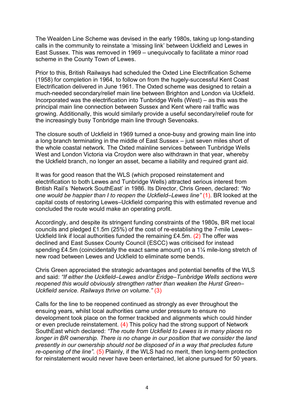The Wealden Line Scheme was devised in the early 1980s, taking up long-standing calls in the community to reinstate a 'missing link' between Uckfield and Lewes in East Sussex. This was removed in 1969 – unequivocally to facilitate a minor road scheme in the County Town of Lewes.

Prior to this, British Railways had scheduled the Oxted Line Electrification Scheme (1958) for completion in 1964, to follow on from the hugely-successful Kent Coast Electrification delivered in June 1961. The Oxted scheme was designed to retain a much-needed secondary/relief main line between Brighton and London via Uckfield. Incorporated was the electrification into Tunbridge Wells (West) – as this was the principal main line connection between Sussex and Kent where rail traffic was growing. Additionally, this would similarly provide a useful secondary/relief route for the increasingly busy Tonbridge main line through Sevenoaks.

The closure south of Uckfield in 1969 turned a once-busy and growing main line into a long branch terminating in the middle of East Sussex – just seven miles short of the whole coastal network. The Oxted mainline services between Tunbridge Wells West and London Victoria via Croydon were also withdrawn in that year, whereby the Uckfield branch, no longer an asset, became a liability and required grant aid.

It was for good reason that the WLS (which proposed reinstatement and electrification to both Lewes and Tunbridge Wells) attracted serious interest from British Rail's 'Network SouthEast' in 1986. Its Director, Chris Green, declared: *"No one would be happier than I to reopen the Uckfield–Lewes line"* (1). BR looked at the capital costs of restoring Lewes–Uckfield comparing this with estimated revenue and concluded the route would make an operating profit.

Accordingly, and despite its stringent funding constraints of the 1980s, BR met local councils and pledged £1.5m (25%) of the cost of re-establishing the 7-mile Lewes– Uckfield link if local authorities funded the remaining £4.5m. (2) The offer was declined and East Sussex County Council (ESCC) was criticised for instead spending £4.5m (coincidentally the exact same amount) on a 1¼ mile-long stretch of new road between Lewes and Uckfield to eliminate some bends.

Chris Green appreciated the strategic advantages and potential benefits of the WLS and said: *"If either the Uckfield*–*Lewes and/or Eridge*–*Tunbridge Wells sections were reopened this would obviously strengthen rather than weaken the Hurst Green*– *Uckfield service. Railways thrive on volume."* (3)

Calls for the line to be reopened continued as strongly as ever throughout the ensuing years, whilst local authorities came under pressure to ensure no development took place on the former trackbed and alignments which could hinder or even preclude reinstatement. (4) This policy had the strong support of Network SouthEast which declared: *"The route from Uckfield to Lewes is in many places no longer in BR ownership. There is no change in our position that we consider the land presently in our ownership should not be disposed of in a way that precludes future re-opening of the line".* (5) Plainly, if the WLS had no merit, then long-term protection for reinstatement would never have been entertained, let alone pursued for 50 years.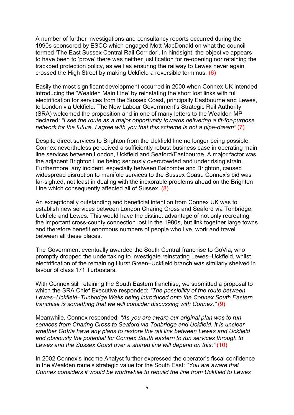A number of further investigations and consultancy reports occurred during the 1990s sponsored by ESCC which engaged Mott MacDonald on what the council termed 'The East Sussex Central Rail Corridor'. In hindsight, the objective appears to have been to 'prove' there was neither justification for re-opening nor retaining the trackbed protection policy, as well as ensuring the railway to Lewes never again crossed the High Street by making Uckfield a reversible terminus. (6)

Easily the most significant development occurred in 2000 when Connex UK intended introducing the 'Wealden Main Line' by reinstating the short lost links with full electrification for services from the Sussex Coast, principally Eastbourne and Lewes, to London via Uckfield. The New Labour Government's Strategic Rail Authority (SRA) welcomed the proposition and in one of many letters to the Wealden MP declared: *"I see the route as a major opportunity towards delivering a fit-for-purpose network for the future. I agree with you that this scheme is not a pipe-dream"* (7)

Despite direct services to Brighton from the Uckfield line no longer being possible, Connex nevertheless perceived a sufficiently robust business case in operating main line services between London, Uckfield and Seaford/Eastbourne. A major factor was the adjacent Brighton Line being seriously overcrowded and under rising strain. Furthermore, any incident, especially between Balcombe and Brighton, caused widespread disruption to manifold services to the Sussex Coast. Connex's bid was far-sighted, not least in dealing with the inexorable problems ahead on the Brighton Line which consequently affected all of Sussex. (8)

An exceptionally outstanding and beneficial intention from Connex UK was to establish new services between London Charing Cross and Seaford via Tonbridge, Uckfield and Lewes. This would have the distinct advantage of not only recreating the important cross-county connection lost in the 1980s, but link together large towns and therefore benefit enormous numbers of people who live, work and travel between all these places.

The Government eventually awarded the South Central franchise to GoVia, who promptly dropped the undertaking to investigate reinstating Lewes–Uckfield, whilst electrification of the remaining Hurst Green–Uckfield branch was similarly shelved in favour of class 171 Turbostars.

With Connex still retaining the South Eastern franchise, we submitted a proposal to which the SRA Chief Executive responded: *"The possibility of the route between Lewes*–*Uckfield*–*Tunbridge Wells being introduced onto the Connex South Eastern franchise is something that we will consider discussing with Connex."* (9)

Meanwhile, Connex responded: *"As you are aware our original plan was to run services from Charing Cross to Seaford via Tonbridge and Uckfield. It is unclear whether GoVia have any plans to restore the rail link between Lewes and Uckfield and obviously the potential for Connex South eastern to run services through to Lewes and the Sussex Coast over a shared line will depend on this."* (10)

In 2002 Connex's Income Analyst further expressed the operator's fiscal confidence in the Wealden route's strategic value for the South East: *"You are aware that Connex considers it would be worthwhile to rebuild the line from Uckfield to Lewes*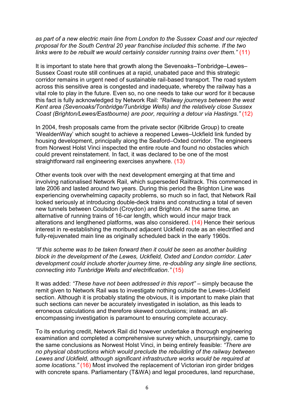*as part of a new electric main line from London to the Sussex Coast and our rejected proposal for the South Central 20 year franchise included this scheme. If the two links were to be rebuilt we would certainly consider running trains over them."* (11)

It is important to state here that growth along the Sevenoaks–Tonbridge–Lewes– Sussex Coast route still continues at a rapid, unabated pace and this strategic corridor remains in urgent need of sustainable rail-based transport. The road system across this sensitive area is congested and inadequate, whereby the railway has a vital role to play in the future. Even so, no one needs to take our word for it because this fact is fully acknowledged by Network Rail: *"Railway journeys between the west Kent area (Sevenoaks/Tonbridge/Tunbridge Wells) and the relatively close Sussex Coast (Brighton/Lewes/Eastbourne) are poor, requiring a detour via Hastings."* (12)

In 2004, fresh proposals came from the private sector (Kilbride Group) to create 'WealdenWay' which sought to achieve a reopened Lewes–Uckfield link funded by housing development, principally along the Seaford–Oxted corridor. The engineers from Norwest Holst Vinci inspected the entire route and found no obstacles which could prevent reinstatement. In fact, it was declared to be one of the most straightforward rail engineering exercises anywhere. (13)

Other events took over with the next development emerging at that time and involving nationalised Network Rail, which superseded Railtrack. This commenced in late 2006 and lasted around two years. During this period the Brighton Line was experiencing overwhelming capacity problems, so much so in fact, that Network Rail looked seriously at introducing double-deck trains and constructing a total of seven new tunnels between Coulsdon (Croydon) and Brighton. At the same time, an alternative of running trains of 16-car length, which would incur major track alterations and lengthened platforms, was also considered. (14) Hence their serious interest in re-establishing the moribund adjacent Uckfield route as an electrified and fully-rejuvenated main line as originally scheduled back in the early 1960s.

*"If this scheme was to be taken forward then it could be seen as another building block in the development of the Lewes, Uckfield, Oxted and London corridor. Later development could include shorter journey time, re-doubling any single line sections, connecting into Tunbridge Wells and electrification."* (15)

It was added: *"These have not been addressed in this report"* – simply because the remit given to Network Rail was to investigate nothing outside the Lewes–Uckfield section. Although it is probably stating the obvious, it is important to make plain that such sections can never be accurately investigated in isolation, as this leads to erroneous calculations and therefore skewed conclusions; instead, an allencompassing investigation is paramount to ensuring complete accuracy.

To its enduring credit, Network Rail did however undertake a thorough engineering examination and completed a comprehensive survey which, unsurprisingly, came to the same conclusions as Norwest Holst Vinci, in being entirely feasible: *"There are no physical obstructions which would preclude the rebuilding of the railway between Lewes and Uckfield, although significant infrastructure works would be required at some locations."* (16) Most involved the replacement of Victorian iron girder bridges with concrete spans. Parliamentary (T&WA) and legal procedures, land repurchase,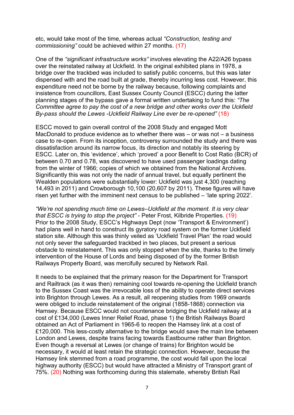etc, would take most of the time, whereas actual *"Construction, testing and commissioning"* could be achieved within 27 months. (17)

One of the *"significant infrastructure works"* involves elevating the A22/A26 bypass over the reinstated railway at Uckfield. In the original exhibited plans in 1978, a bridge over the trackbed was included to satisfy public concerns, but this was later dispensed with and the road built at grade, thereby incurring less cost. However, this expenditure need not be borne by the railway because, following complaints and insistence from councillors, East Sussex County Council (ESCC) during the latter planning stages of the bypass gave a formal written undertaking to fund this: *"The Committee agree to pay the cost of a new bridge and other works over the Uckfield By-pass should the Lewes -Uckfield Railway Line ever be re-opened"* (18)

ESCC moved to gain overall control of the 2008 Study and engaged Mott MacDonald to produce evidence as to whether there was – or was not – a business case to re-open. From its inception, controversy surrounded the study and there was dissatisfaction around its narrow focus, its direction and notably its steering by ESCC. Later on, this 'evidence', which 'proved' a poor Benefit to Cost Ratio (BCR) of between 0.70 and 0.78, was discovered to have used passenger loadings dating from the winter of 1966; copies of which we obtained from the National Archives. Significantly this was not only the nadir of annual travel, but equally pertinent the Wealden populations were substantially lower: Uckfield was just 4,300 (reaching 14,493 in 2011) and Crowborough 10,100 (20,607 by 2011). These figures will have risen yet further with the imminent next census to be published – 'late spring 2022'.

*"We're not spending much time on Lewes–Uckfield at the moment. It is very clear that ESCC is trying to stop the project"* - Peter Frost, Kilbride Properties. (19) Prior to the 2008 Study, ESCC's Highways Dept (now 'Transport & Environment') had plans well in hand to construct its gyratory road system on the former Uckfield station site. Although this was thinly veiled as 'Uckfield Travel Plan' the road would not only sever the safeguarded trackbed in two places, but present a serious obstacle to reinstatement. This was only stopped when the site, thanks to the timely intervention of the House of Lords and being disposed of by the former British Railways Property Board, was mercifully secured by Network Rail.

It needs to be explained that the primary reason for the Department for Transport and Railtrack (as it was then) remaining cool towards re-opening the Uckfield branch to the Sussex Coast was the irrevocable loss of the ability to operate direct services into Brighton through Lewes. As a result, all reopening studies from 1969 onwards were obliged to include reinstatement of the original (1858-1868) connection via Hamsey. Because ESCC would not countenance bridging the Uckfield railway at a cost of £134,000 (Lewes Inner Relief Road, phase 1) the British Railways Board obtained an Act of Parliament in 1965-6 to reopen the Hamsey link at a cost of £120,000. This less-costly alternative to the bridge would save the main line between London and Lewes, despite trains facing towards Eastbourne rather than Brighton. Even though a reversal at Lewes (or change of trains) for Brighton would be necessary, it would at least retain the strategic connection. However, because the Hamsey link stemmed from a road programme, the cost would fall upon the local highway authority (ESCC) but would have attracted a Ministry of Transport grant of 75%. (20) Nothing was forthcoming during this stalemate, whereby British Rail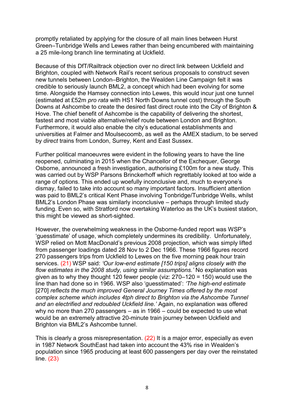promptly retaliated by applying for the closure of all main lines between Hurst Green–Tunbridge Wells and Lewes rather than being encumbered with maintaining a 25 mile-long branch line terminating at Uckfield.

Because of this DfT/Railtrack objection over no direct link between Uckfield and Brighton, coupled with Network Rail's recent serious proposals to construct seven new tunnels between London–Brighton, the Wealden Line Campaign felt it was credible to seriously launch BML2, a concept which had been evolving for some time. Alongside the Hamsey connection into Lewes, this would incur just one tunnel (estimated at £52m *pro rata* with HS1 North Downs tunnel cost) through the South Downs at Ashcombe to create the desired fast direct route into the City of Brighton & Hove. The chief benefit of Ashcombe is the capability of delivering the shortest, fastest and most viable alternative/relief route between London and Brighton. Furthermore, it would also enable the city's educational establishments and universities at Falmer and Moulsecoomb, as well as the AMEX stadium, to be served by *direct* trains from London, Surrey, Kent and East Sussex.

Further political manoeuvres were evident in the following years to have the line reopened, culminating in 2015 when the Chancellor of the Exchequer, George Osborne, announced a fresh investigation, authorising £100m for a new study. This was carried out by WSP Parsons Brinckerhoff which regrettably looked at too wide a range of options. This ended up woefully inconclusive and, much to everyone's dismay, failed to take into account so many important factors. Insufficient attention was paid to BML2's critical Kent Phase involving Tonbridge/Tunbridge Wells, whilst BML2's London Phase was similarly inconclusive – perhaps through limited study funding. Even so, with Stratford now overtaking Waterloo as the UK's busiest station, this might be viewed as short-sighted.

However, the overwhelming weakness in the Osborne-funded report was WSP's 'guesstimate' of usage, which completely undermines its credibility. Unfortunately, WSP relied on Mott MacDonald's previous 2008 projection, which was simply lifted from passenger loadings dated 28 Nov to 2 Dec 1966. These 1966 figures record 270 passengers trips from Uckfield to Lewes on the five morning peak hour train services. (21) WSP said: *'Our low-end estimate [150 trips] aligns closely with the flow estimates in the 2008 study, using similar assumptions.'* No explanation was given as to why they thought 120 fewer people (viz: 270–120 = 150) would use the line than had done so in 1966. WSP also 'guesstimated': *'The high-end estimate* [270] *reflects the much improved General Journey Times offered by the most complex scheme which includes 4tph direct to Brighton via the Ashcombe Tunnel and an electrified and redoubled Uckfield line.'* Again, no explanation was offered why no more than 270 passengers – as in 1966 – could be expected to use what would be an extremely attractive 20-minute train journey between Uckfield and Brighton via BML2's Ashcombe tunnel.

This is clearly a gross misrepresentation. (22) It is a major error, especially as even in 1987 Network SouthEast had taken into account the 43% rise in Wealden's population since 1965 producing at least 600 passengers per day over the reinstated line. (23)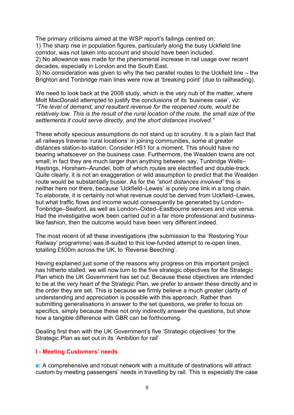The primary criticisms aimed at the WSP report's failings centred on:

1) The sharp rise in population figures, particularly along the busy Uckfield line corridor, was not taken into account and should have been included.

2) No allowance was made for the phenomenal increase in rail usage over recent decades, especially in London and the South East.

3) No consideration was given to why the two parallel routes to the Uckfield line – the Brighton and Tonbridge main lines were now at 'breaking point' (due to railheading).

We need to look back at the 2008 study, which is the very nub of the matter, where Mott MacDonald attempted to justify the conclusions of its 'business case', viz: *"The level of demand, and resultant revenue for the reopened route, would be relatively low. This is the result of the rural location of the route, the small size of the settlements it could serve directly, and the short distances involved."*

These wholly specious assumptions do not stand up to scrutiny. It is a plain fact that all railways traverse 'rural locations' in joining communities, some at greater distances station-to-station. Consider HS1 for a moment. This should have no bearing whatsoever on the business case. Furthermore, the Wealden towns are not small; in fact they are much larger than anything between say, Tunbridge Wells– Hastings, Horsham–Arundel, both of which routes are electrified and double-track. Quite clearly, it is not an exaggeration or wild assumption to predict that the Wealden route would be substantially busier. As for the *"short distances involved"* this is neither here nor there, because 'Uckfield–Lewes' is purely one link in a long chain. To elaborate, it is certainly not what revenue could be derived from Uckfield–Lewes, but what traffic flows and income would consequently be generated by London– Tonbridge–Seaford, as well as London–Oxted–Eastbourne services and vice versa. Had the investigative work been carried out in a far more professional and businesslike fashion, then the outcome would have been very different indeed.

The most recent of all these investigations (the submission to the 'Restoring Your Railway' programme) was ill-suited to this low-funded attempt to re-open lines, totalling £500m across the UK, to 'Reverse Beeching'.

Having explained just some of the reasons why progress on this important project has hitherto stalled, we will now turn to the five strategic objectives for the Strategic Plan which the UK Government has set out. Because these objectives are intended to be at the very heart of the Strategic Plan, we prefer to answer these directly and in the order they are set. This is because we firmly believe a much greater clarity of understanding and appreciation is possible with this approach. Rather than submitting generalisations in answer to the set questions, we prefer to focus on specifics, simply because these not only indirectly answer the questions, but show how a tangible difference with GBR can be forthcoming.

Dealing first then with the UK Government's five 'Strategic objectives' for the Strategic Plan as set out in its 'Ambition for rail'

### **I - Meeting Customers' needs**

**a:** A comprehensive and robust network with a multitude of destinations will attract custom by meeting passengers' needs in travelling by rail. This is especially the case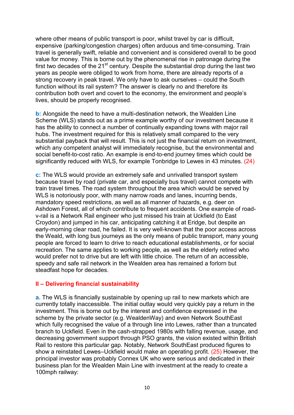where other means of public transport is poor, whilst travel by car is difficult, expensive (parking/congestion charges) often arduous and time-consuming. Train travel is generally swift, reliable and convenient and is considered overall to be good value for money. This is borne out by the phenomenal rise in patronage during the first two decades of the  $21<sup>st</sup>$  century. Despite the substantial drop during the last two years as people were obliged to work from home, there are already reports of a strong recovery in peak travel. We only have to ask ourselves – could the South function without its rail system? The answer is clearly no and therefore its contribution both overt and covert to the economy, the environment and people's lives, should be properly recognised.

**b:** Alongside the need to have a multi-destination network, the Wealden Line Scheme (WLS) stands out as a prime example worthy of our investment because it has the ability to connect a number of continually expanding towns with major rail hubs. The investment required for this is relatively small compared to the very substantial payback that will result. This is not just the financial return on investment, which any competent analyst will immediately recognise, but the environmental and social benefit-to-cost ratio. An example is end-to-end journey times which could be significantly reduced with WLS, for example Tonbridge to Lewes in 43 minutes. (24)

**c:** The WLS would provide an extremely safe and unrivalled transport system because travel by road (private car, and especially bus travel) cannot compete with train travel times. The road system throughout the area which would be served by WLS is notoriously poor, with many narrow roads and lanes, incurring bends, mandatory speed restrictions, as well as all manner of hazards, e.g. deer on Ashdown Forest, all of which contribute to frequent accidents. One example of roadv-rail is a Network Rail engineer who just missed his train at Uckfield (to East Croydon) and jumped in his car, anticipating catching it at Eridge, but despite an early-morning clear road, he failed. It is very well-known that the poor access across the Weald, with long bus journeys as the only means of public transport, many young people are forced to learn to drive to reach educational establishments, or for social recreation. The same applies to working people, as well as the elderly retired who would prefer not to drive but are left with little choice. The return of an accessible, speedy and safe rail network in the Wealden area has remained a forlorn but steadfast hope for decades.

#### **II – Delivering financial sustainability**

**a.** The WLS is financially sustainable by opening up rail to new markets which are currently totally inaccessible. The initial outlay would very quickly pay a return in the investment. This is borne out by the interest and confidence expressed in the scheme by the private sector (e.g. WealdenWay) and even Network SouthEast which fully recognised the value of a through line into Lewes, rather than a truncated branch to Uckfield. Even in the cash-strapped 1980s with falling revenue, usage, and decreasing government support through PSO grants, the vision existed within British Rail to restore this particular gap. Notably, Network SouthEast produced figures to show a reinstated Lewes–Uckfield would make an operating profit. (25) However, the principal investor was probably Connex UK who were serious and dedicated in their business plan for the Wealden Main Line with investment at the ready to create a 100mph railway: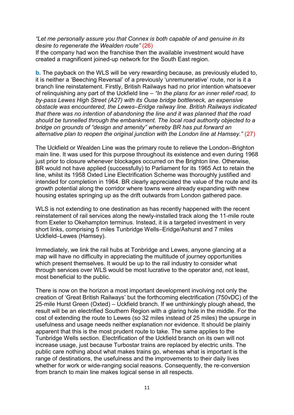*"Let me personally assure you that Connex is both capable of and genuine in its desire to regenerate the Wealden route"* (26)

If the company had won the franchise then the available investment would have created a magnificent joined-up network for the South East region.

**b.** The payback on the WLS will be very rewarding because, as previously eluded to, it is neither a 'Beeching Reversal' of a previously 'unremunerative' route, nor is it a branch line reinstatement. Firstly, British Railways had no prior intention whatsoever of relinquishing any part of the Uckfield line – *"In the plans for an inner relief road, to by-pass Lewes High Street (A27) with its Ouse bridge bottleneck, an expensive obstacle was encountered, the Lewes–Eridge railway line. British Railways indicated that there was no intention of abandoning the line and it was planned that the road should be tunnelled through the embankment. The local road authority objected to a bridge on grounds of "design and amenity" whereby BR has put forward an alternative plan to reopen the original junction with the London line at Hamsey."* (27)

The Uckfield or Wealden Line was the primary route to relieve the London–Brighton main line. It was used for this purpose throughout its existence and even during 1968 just prior to closure whenever blockages occurred on the Brighton line. Otherwise, BR would not have applied (successfully) to Parliament for its 1965 Act to retain the line, whilst its 1958 Oxted Line Electrification Scheme was thoroughly justified and intended for completion in 1964. BR clearly appreciated the value of the route and its growth potential along the corridor where towns were already expanding with new housing estates springing up as the drift outwards from London gathered pace.

WLS is not extending to one destination as has recently happened with the recent reinstatement of rail services along the newly-installed track along the 11-mile route from Exeter to Okehampton terminus. Instead, it is a targeted investment in very short links, comprising 5 miles Tunbridge Wells–Eridge/Ashurst and 7 miles Uckfield–Lewes (Hamsey).

Immediately, we link the rail hubs at Tonbridge and Lewes, anyone glancing at a map will have no difficulty in appreciating the multitude of journey opportunities which present themselves. It would be up to the rail industry to consider what through services over WLS would be most lucrative to the operator and, not least, most beneficial to the public.

There is now on the horizon a most important development involving not only the creation of 'Great British Railways' but the forthcoming electrification (750vDC) of the 25-mile Hurst Green (Oxted) – Uckfield branch. If we unthinkingly plough ahead, the result will be an electrified Southern Region with a glaring hole in the middle. For the cost of extending the route to Lewes (so 32 miles instead of 25 miles) the upsurge in usefulness and usage needs neither explanation nor evidence. It should be plainly apparent that this is the most prudent route to take. The same applies to the Tunbridge Wells section. Electrification of the Uckfield branch on its own will not increase usage, just because Turbostar trains are replaced by electric units. The public care nothing about what makes trains go, whereas what is important is the range of destinations, the usefulness and the improvements to their daily lives whether for work or wide-ranging social reasons. Consequently, the re-conversion from branch to main line makes logical sense in all respects.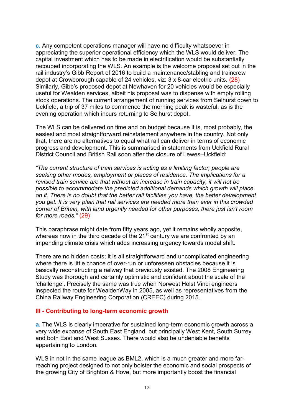**c.** Any competent operations manager will have no difficulty whatsoever in appreciating the superior operational efficiency which the WLS would deliver. The capital investment which has to be made in electrification would be substantially recouped incorporating the WLS. An example is the welcome proposal set out in the rail industry's Gibb Report of 2016 to build a maintenance/stabling and traincrew depot at Crowborough capable of 24 vehicles, viz: 3 x 8-car electric units. (28) Similarly, Gibb's proposed depot at Newhaven for 20 vehicles would be especially useful for Wealden services, albeit his proposal was to dispense with empty rolling stock operations. The current arrangement of running services from Selhurst down to Uckfield, a trip of 37 miles to commence the morning peak is wasteful, as is the evening operation which incurs returning to Selhurst depot.

The WLS can be delivered on time and on budget because it is, most probably, the easiest and most straightforward reinstatement anywhere in the country. Not only that, there are no alternatives to equal what rail can deliver in terms of economic progress and development. This is summarised in statements from Uckfield Rural District Council and British Rail soon after the closure of Lewes–Uckfield:

*"The current structure of train services is acting as a limiting factor; people are seeking other modes, employment or places of residence. The implications for a revised train service are that without an increase in train capacity, it will not be possible to accommodate the predicted additional demands which growth will place on it. There is no doubt that the better rail facilities you have, the better development you get. It is very plain that rail services are needed more than ever in this crowded corner of Britain, with land urgently needed for other purposes, there just isn't room for more roads."* (29)

This paraphrase might date from fifty years ago, yet it remains wholly apposite, whereas now in the third decade of the  $21<sup>st</sup>$  century we are confronted by an impending climate crisis which adds increasing urgency towards modal shift.

There are no hidden costs; it is all straightforward and uncomplicated engineering where there is little chance of over-run or unforeseen obstacles because it is basically reconstructing a railway that previously existed. The 2008 Engineering Study was thorough and certainly optimistic and confident about the scale of the 'challenge'. Precisely the same was true when Norwest Holst Vinci engineers inspected the route for WealdenWay in 2005, as well as representatives from the China Railway Engineering Corporation (CREEC) during 2015.

#### **III - Contributing to long-term economic growth**

**a.** The WLS is clearly imperative for sustained long-term economic growth across a very wide expanse of South East England, but principally West Kent, South Surrey and both East and West Sussex. There would also be undeniable benefits appertaining to London.

WLS in not in the same league as BML2, which is a much greater and more farreaching project designed to not only bolster the economic and social prospects of the growing City of Brighton & Hove, but more importantly boost the financial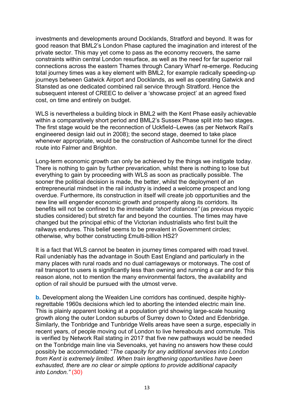investments and developments around Docklands, Stratford and beyond. It was for good reason that BML2's London Phase captured the imagination and interest of the private sector. This may yet come to pass as the economy recovers, the same constraints within central London resurface, as well as the need for far superior rail connections across the eastern Thames through Canary Wharf re-emerge. Reducing total journey times was a key element with BML2, for example radically speeding-up journeys between Gatwick Airport and Docklands, as well as operating Gatwick and Stansted as one dedicated combined rail service through Stratford. Hence the subsequent interest of CREEC to deliver a 'showcase project' at an agreed fixed cost, on time and entirely on budget.

WLS is nevertheless a building block in BML2 with the Kent Phase easily achievable within a comparatively short period and BML2's Sussex Phase split into two stages. The first stage would be the reconnection of Uckfield–Lewes (as per Network Rail's engineered design laid out in 2008); the second stage, deemed to take place whenever appropriate, would be the construction of Ashcombe tunnel for the direct route into Falmer and Brighton.

Long-term economic growth can only be achieved by the things we instigate today. There is nothing to gain by further prevarication, whilst there is nothing to lose but everything to gain by proceeding with WLS as soon as practically possible. The sooner the political decision is made, the better, whilst the deployment of an entrepreneurial mindset in the rail industry is indeed a welcome prospect and long overdue. Furthermore, its construction in itself will create job opportunities and the new line will engender economic growth and prosperity along its corridors. Its benefits will not be confined to the immediate *"short distances"* (as previous myopic studies considered) but stretch far and beyond the counties. The times may have changed but the principal ethic of the Victorian industrialists who first built the railways endures. This belief seems to be prevalent in Government circles; otherwise, why bother constructing £multi-billion HS2?

It is a fact that WLS cannot be beaten in journey times compared with road travel. Rail undeniably has the advantage in South East England and particularly in the many places with rural roads and no dual carriageways or motorways. The cost of rail transport to users is significantly less than owning and running a car and for this reason alone, not to mention the many environmental factors, the availability and option of rail should be pursued with the utmost verve.

**b.** Development along the Wealden Line corridors has continued, despite highlyregrettable 1960s decisions which led to aborting the intended electric main line. This is plainly apparent looking at a population grid showing large-scale housing growth along the outer London suburbs of Surrey down to Oxted and Edenbridge. Similarly, the Tonbridge and Tunbridge Wells areas have seen a surge, especially in recent years, of people moving out of London to live hereabouts and commute. This is verified by Network Rail stating in 2017 that five new pathways would be needed on the Tonbridge main line via Sevenoaks, yet having no answers how these could possibly be accommodated: "*The capacity for any additional services into London from Kent is extremely limited. When train lengthening opportunities have been exhausted, there are no clear or simple options to provide additional capacity into London."* (30)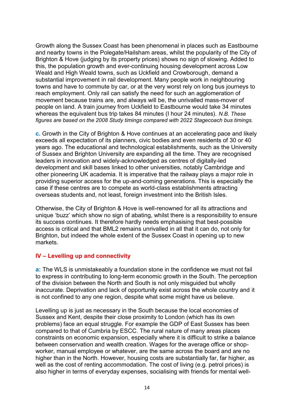Growth along the Sussex Coast has been phenomenal in places such as Eastbourne and nearby towns in the Polegate/Hailsham areas, whilst the popularity of the City of Brighton & Hove (judging by its property prices) shows no sign of slowing. Added to this, the population growth and ever-continuing housing development across Low Weald and High Weald towns, such as Uckfield and Crowborough, demand a substantial improvement in rail development. Many people work in neighbouring towns and have to commute by car, or at the very worst rely on long bus journeys to reach employment. Only rail can satisfy the need for such an agglomeration of movement because trains are, and always will be, the unrivalled mass-mover of people on land. A train journey from Uckfield to Eastbourne would take 34 minutes whereas the equivalent bus trip takes 84 minutes (I hour 24 minutes). *N.B. These figures are based on the 2008 Study timings compared with 2022 Stagecoach bus timings.*

**c.** Growth in the City of Brighton & Hove continues at an accelerating pace and likely exceeds all expectation of its planners, civic bodies and even residents of 30 or 40 years ago. The educational and technological establishments, such as the University of Sussex and Brighton University are expanding all the time. They are recognised leaders in innovation and widely-acknowledged as centres of digitally-led development and skill bases linked to other universities, notably Cambridge and other pioneering UK academia. It is imperative that the railway plays a major role in providing superior access for the up-and-coming generations. This is especially the case if these centres are to compete as world-class establishments attracting overseas students and, not least, foreign investment into the British Isles.

Otherwise, the City of Brighton & Hove is well-renowned for all its attractions and unique 'buzz' which show no sign of abating, whilst there is a responsibility to ensure its success continues. It therefore hardly needs emphasising that best-possible access is critical and that BML2 remains unrivalled in all that it can do, not only for Brighton, but indeed the whole extent of the Sussex Coast in opening up to new markets.

#### **IV – Levelling up and connectivity**

**a:** The WLS is unmistakeably a foundation stone in the confidence we must not fail to express in contributing to long-term economic growth in the South. The perception of the division between the North and South is not only misguided but wholly inaccurate. Deprivation and lack of opportunity exist across the whole country and it is not confined to any one region, despite what some might have us believe.

Levelling up is just as necessary in the South because the local economies of Sussex and Kent, despite their close proximity to London (which has its own problems) face an equal struggle. For example the GDP of East Sussex has been compared to that of Cumbria by ESCC. The rural nature of many areas places constraints on economic expansion, especially where it is difficult to strike a balance between conservation and wealth creation. Wages for the average office or shopworker, manual employee or whatever, are the same across the board and are no higher than in the North. However, housing costs are substantially far, far higher, as well as the cost of renting accommodation. The cost of living (e.g. petrol prices) is also higher in terms of everyday expenses, socialising with friends for mental well-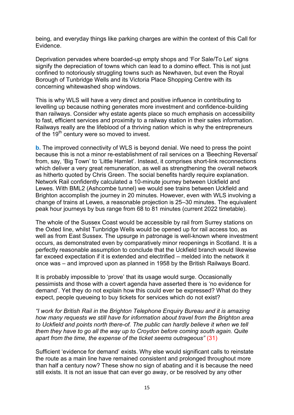being, and everyday things like parking charges are within the context of this Call for Evidence.

Deprivation pervades where boarded-up empty shops and 'For Sale/To Let' signs signify the depreciation of towns which can lead to a domino effect. This is not just confined to notoriously struggling towns such as Newhaven, but even the Royal Borough of Tunbridge Wells and its Victoria Place Shopping Centre with its concerning whitewashed shop windows.

This is why WLS will have a very direct and positive influence in contributing to levelling up because nothing generates more investment and confidence-building than railways. Consider why estate agents place so much emphasis on accessibility to fast, efficient services and proximity to a railway station in their sales information. Railways really are the lifeblood of a thriving nation which is why the entrepreneurs of the 19<sup>th</sup> century were so moved to invest.

**b.** The improved connectivity of WLS is beyond denial. We need to press the point because this is not a minor re-establishment of rail services on a 'Beeching Reversal' from, say, 'Big Town' to 'Little Hamlet'. Instead, it comprises short-link reconnections which deliver a very great remuneration, as well as strengthening the overall network as hitherto quoted by Chris Green. The social benefits hardly require explanation. Network Rail confidently calculated a 10-minute journey between Uckfield and Lewes. With BML2 (Ashcombe tunnel) we would see trains between Uckfield and Brighton accomplish the journey in 20 minutes. However, even with WLS involving a change of trains at Lewes, a reasonable projection is 25–30 minutes. The equivalent peak hour journeys by bus range from 68 to 81 minutes (current 2022 timetable).

The whole of the Sussex Coast would be accessible by rail from Surrey stations on the Oxted line, whilst Tunbridge Wells would be opened up for rail access too, as well as from East Sussex. The upsurge in patronage is well-known where investment occurs, as demonstrated even by comparatively minor reopenings in Scotland. It is a perfectly reasonable assumption to conclude that the Uckfield branch would likewise far exceed expectation if it is extended and electrified – melded into the network it once was – and improved upon as planned in 1958 by the British Railways Board.

It is probably impossible to 'prove' that its usage would surge. Occasionally pessimists and those with a covert agenda have asserted there is 'no evidence for demand'. Yet they do not explain how this could ever be expressed? What do they expect, people queueing to buy tickets for services which do not exist?

*"I work for British Rail in the Brighton Telephone Enquiry Bureau and it is amazing how many requests we still have for information about travel from the Brighton area to Uckfield and points north there-of. The public can hardly believe it when we tell them they have to go all the way up to Croydon before coming south again. Quite apart from the time, the expense of the ticket seems outrageous"* (31)

Sufficient 'evidence for demand' exists. Why else would significant calls to reinstate the route as a main line have remained consistent and prolonged throughout more than half a century now? These show no sign of abating and it is because the need still exists. It is not an issue that can ever go away, or be resolved by any other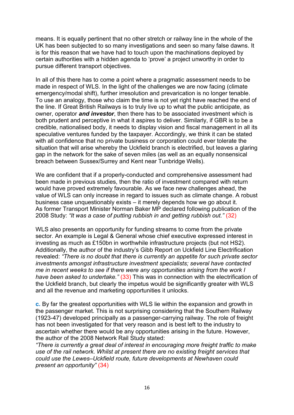means. It is equally pertinent that no other stretch or railway line in the whole of the UK has been subjected to so many investigations and seen so many false dawns. It is for this reason that we have had to touch upon the machinations deployed by certain authorities with a hidden agenda to 'prove' a project unworthy in order to pursue different transport objectives.

In all of this there has to come a point where a pragmatic assessment needs to be made in respect of WLS. In the light of the challenges we are now facing (climate emergency/modal shift), further irresolution and prevarication is no longer tenable. To use an analogy, those who claim the time is not yet right have reached the end of the line. If Great British Railways is to truly live up to what the public anticipate, as owner, operator *and investor*, then there has to be associated investment which is both prudent and perceptive in what it aspires to deliver. Similarly, if GBR is to be a credible, nationalised body, it needs to display vision and fiscal management in all its speculative ventures funded by the taxpayer. Accordingly, we think it can be stated with all confidence that no private business or corporation could ever tolerate the situation that will arise whereby the Uckfield branch is electrified, but leaves a glaring gap in the network for the sake of seven miles (as well as an equally nonsensical breach between Sussex/Surrey and Kent near Tunbridge Wells).

We are confident that if a properly-conducted and comprehensive assessment had been made in previous studies, then the ratio of investment compared with return would have proved extremely favourable. As we face new challenges ahead, the value of WLS can only increase in regard to issues such as climate change. A robust business case unquestionably exists – it merely depends how we go about it. As former Transport Minister Norman Baker MP declared following publication of the 2008 Study: *"It was a case of putting rubbish in and getting rubbish out."* (32)

WLS also presents an opportunity for funding streams to come from the private sector. An example is Legal & General whose chief executive expressed interest in investing as much as £150bn in worthwhile infrastructure projects (but not HS2). Additionally, the author of the industry's Gibb Report on Uckfield Line Electrification revealed: *"There is no doubt that there is currently an appetite for such private sector investments amongst infrastructure investment specialists; several have contacted me in recent weeks to see if there were any opportunities arising from the work I have been asked to undertake."* (33) This was in connection with the electrification of the Uckfield branch, but clearly the impetus would be significantly greater with WLS and all the revenue and marketing opportunities it unlocks.

**c.** By far the greatest opportunities with WLS lie within the expansion and growth in the passenger market. This is not surprising considering that the Southern Railway (1923-47) developed principally as a passenger-carrying railway. The role of freight has not been investigated for that very reason and is best left to the industry to ascertain whether there would be any opportunities arising in the future. However, the author of the 2008 Network Rail Study stated:

*"There is currently a great deal of interest in encouraging more freight traffic to make use of the rail network. Whilst at present there are no existing freight services that could use the Lewes–Uckfield route, future developments at Newhaven could present an opportunity"* (34)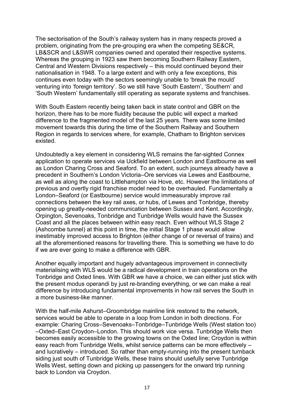The sectorisation of the South's railway system has in many respects proved a problem, originating from the pre-grouping era when the competing SE&CR, LB&SCR and L&SWR companies owned and operated their respective systems. Whereas the grouping in 1923 saw them becoming Southern Railway Eastern, Central and Western Divisions respectively – this mould continued beyond their nationalisation in 1948. To a large extent and with only a few exceptions, this continues even today with the sectors seemingly unable to 'break the mould' venturing into 'foreign territory'. So we still have 'South Eastern', 'Southern' and 'South Western' fundamentally still operating as separate systems and franchises.

With South Eastern recently being taken back in state control and GBR on the horizon, there has to be more fluidity because the public will expect a marked difference to the fragmented model of the last 25 years. There was some limited movement towards this during the time of the Southern Railway and Southern Region in regards to services where, for example, Chatham to Brighton services existed.

Undoubtedly a key element in considering WLS remains the far-sighted Connex application to operate services via Uckfield between London and Eastbourne as well as London Charing Cross and Seaford. To an extent, such journeys already have a precedent in Southern's London Victoria–Ore services via Lewes and Eastbourne, as well as along the coast to Littlehampton via Hove, etc. However the limitations of previous and overtly rigid franchise model need to be overhauled. Fundamentally a London–Seaford (or Eastbourne) service would immeasurably improve rail connections between the key rail axes, or hubs, of Lewes and Tonbridge, thereby opening up greatly-needed communication between Sussex and Kent. Accordingly, Orpington, Sevenoaks, Tonbridge and Tunbridge Wells would have the Sussex Coast and all the places between within easy reach. Even without WLS Stage 2 (Ashcombe tunnel) at this point in time, the initial Stage 1 phase would allow inestimably improved access to Brighton (either change of or reversal of trains) and all the aforementioned reasons for travelling there. This is something we have to do if we are ever going to make a difference with GBR.

Another equally important and hugely advantageous improvement in connectivity materialising with WLS would be a radical development in train operations on the Tonbridge and Oxted lines. With GBR we have a choice, we can either just stick with the present modus operandi by just re-branding everything, or we can make a real difference by introducing fundamental improvements in how rail serves the South in a more business-like manner.

With the half-mile Ashurst–Groombridge mainline link restored to the network, services would be able to operate in a loop from London in both directions. For example: Charing Cross–Sevenoaks–Tonbridge–Tunbridge Wells (West station too) –Oxted–East Croydon–London. This should work vice versa. Tunbridge Wells then becomes easily accessible to the growing towns on the Oxted line; Croydon is within easy reach from Tunbridge Wells, whilst service patterns can be more effectively – and lucratively – introduced. So rather than empty-running into the present turnback siding just south of Tunbridge Wells, these trains should usefully serve Tunbridge Wells West, setting down and picking up passengers for the onward trip running back to London via Croydon.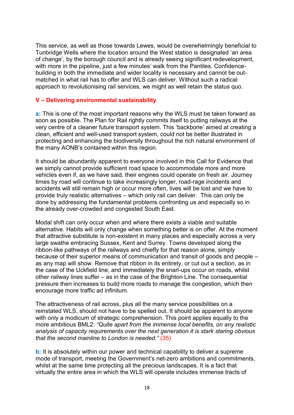This service, as well as those towards Lewes, would be overwhelmingly beneficial to Tunbridge Wells where the location around the West station is designated 'an area of change', by the borough council and is already seeing significant redevelopment, with more in the pipeline, just a few minutes' walk from the Pantiles. Confidencebuilding in both the immediate and wider locality is necessary and cannot be outmatched in what rail has to offer and WLS can deliver. Without such a radical approach to revolutionising rail services, we might as well retain the status quo.

#### **V – Delivering environmental sustainability**

**a:** This is one of the most important reasons why the WLS must be taken forward as soon as possible. The Plan for Rail rightly commits itself to putting railways at the very centre of a cleaner future transport system. This 'backbone' aimed at creating a clean, efficient and well-used transport system, could not be better illustrated in protecting and enhancing the biodiversity throughout the rich natural environment of the many AONB's contained within this region.

It should be abundantly apparent to everyone involved in this Call for Evidence that we simply cannot provide sufficient road space to accommodate more and more vehicles even if, as we have said, their engines could operate on fresh air. Journey times by road will continue to take increasingly longer, road-rage incidents and accidents will still remain high or occur more often, lives will be lost and we have to provide truly realistic alternatives – which only rail can deliver. This can only be done by addressing the fundamental problems confronting us and especially so in the already over-crowded and congested South East.

Modal shift can only occur when and where there exists a viable and suitable alternative. Habits will only change when something better is on offer. At the moment that attractive substitute is non-existent in many places and especially across a very large swathe embracing Sussex, Kent and Surrey. Towns developed along the ribbon-like pathways of the railways and chiefly for that reason alone, simply because of their superior means of communication and transit of goods and people – as any map will show. Remove that ribbon in its entirety, or cut out a section, as in the case of the Uckfield line, and immediately the snarl-ups occur on roads, whilst other railway lines suffer – as in the case of the Brighton Line. The consequential pressure then increases to build more roads to manage the congestion, which then encourage more traffic ad infinitum.

The attractiveness of rail across, plus all the many service possibilities on a reinstated WLS, should not have to be spelled out. It should be apparent to anyone with only a modicum of strategic comprehension. This point applies equally to the more ambitious BML2: *"Quite apart from the immense local benefits, on any realistic analysis of capacity requirements over the next generation it is stark staring obvious that the second mainline to London is needed."* (35)

**b:** It is absolutely within our power and technical capability to deliver a supreme mode of transport, meeting the Government's net-zero ambitions and commitments, whilst at the same time protecting all the precious landscapes. It is a fact that virtually the entire area in which the WLS will operate includes immense tracts of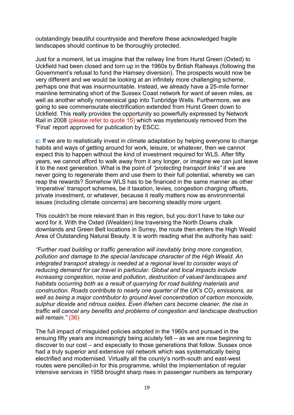outstandingly beautiful countryside and therefore these acknowledged fragile landscapes should continue to be thoroughly protected.

Just for a moment, let us imagine that the railway line from Hurst Green (Oxted) to Uckfield had been closed and torn up in the 1960s by British Railways (following the Government's refusal to fund the Hamsey diversion). The prospects would now be very different and we would be looking at an infinitely more challenging scheme, perhaps one that was insurmountable. Instead, we already have a 25-mile former mainline terminating short of the Sussex Coast network for want of seven miles, as well as another wholly nonsensical gap into Tunbridge Wells. Furthermore, we are going to see commensurate electrification extended from Hurst Green down to Uckfield. This really provides the opportunity so powerfully expressed by Network Rail in 2008 (please refer to quote 15) which was mysteriously removed from the 'Final' report approved for publication by ESCC.

**c:** If we are to realistically invest in climate adaptation by helping everyone to change habits and ways of getting around for work, leisure, or whatever, then we cannot expect this to happen without the kind of investment required for WLS. After fifty years, we cannot afford to walk away from it any longer, or imagine we can just leave it to the next generation. What is the point of *"protecting transport links"* if we are never going to regenerate them and use them to their full potential, whereby we can reap the rewards? Somehow WLS has to be financed in the same manner as other 'imperative' transport schemes, be it taxation, levies, congestion charging offsets, private investment, or whatever, because it really matters now as environmental issues (including climate concerns) are becoming steadily more urgent.

This couldn't be more relevant than in this region, but you don't have to take our word for it. With the Oxted (Wealden) line traversing the North Downs chalk downlands and Green Belt locations in Surrey, the route then enters the High Weald Area of Outstanding Natural Beauty. It is worth reading what the authority has said:

*"Further road building or traffic generation will inevitably bring more congestion, pollution and damage to the special landscape character of the High Weald. An integrated transport strategy is needed at a regional level to consider ways of reducing demand for car travel in particular. Global and local impacts include increasing congestion, noise and pollution, destruction of valued landscapes and habitats occurring both as a result of quarrying for road building materials and construction. Roads contribute to nearly one quarter of the UK's CO<sup>2</sup> emissions, as well as being a major contributor to ground level concentration of carbon monoxide, sulphur dioxide and nitrous oxides. Even if/when cars become cleaner, the rise in traffic will cancel any benefits and problems of congestion and landscape destruction will remain."* (36)

The full impact of misguided policies adopted in the 1960s and pursued in the ensuing fifty years are increasingly being acutely felt – as we are now beginning to discover to our cost – and especially to those generations that follow. Sussex once had a truly superior and extensive rail network which was systematically being electrified and modernised. Virtually all the county's north-south and east-west routes were pencilled-in for this programme, whilst the implementation of regular intensive services in 1958 brought sharp rises in passenger numbers as temporary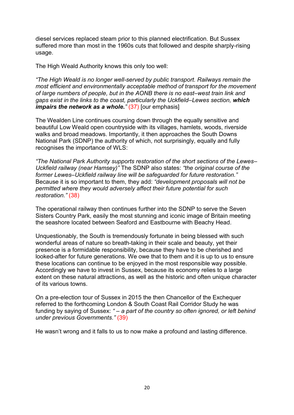diesel services replaced steam prior to this planned electrification. But Sussex suffered more than most in the 1960s cuts that followed and despite sharply-rising usage.

The High Weald Authority knows this only too well:

*"The High Weald is no longer well-served by public transport. Railways remain the most efficient and environmentally acceptable method of transport for the movement of large numbers of people, but in the AONB there is no east–west train link and gaps exist in the links to the coast, particularly the Uckfield–Lewes section, which impairs the network as a whole.*<sup>*"*</sup> (37) [our emphasis]

The Wealden Line continues coursing down through the equally sensitive and beautiful Low Weald open countryside with its villages, hamlets, woods, riverside walks and broad meadows. Importantly, it then approaches the South Downs National Park (SDNP) the authority of which, not surprisingly, equally and fully recognises the importance of WLS:

*"The National Park Authority supports restoration of the short sections of the Lewes– Uckfield railway (near Hamsey)"* The SDNP also states: *"the original course of the former Lewes–Uckfield railway line will be safeguarded for future restoration."* Because it is so important to them, they add: *"development proposals will not be permitted where they would adversely affect their future potential for such restoration."* (38)

The operational railway then continues further into the SDNP to serve the Seven Sisters Country Park, easily the most stunning and iconic image of Britain meeting the seashore located between Seaford and Eastbourne with Beachy Head.

Unquestionably, the South is tremendously fortunate in being blessed with such wonderful areas of nature so breath-taking in their scale and beauty, yet their presence is a formidable responsibility, because they have to be cherished and looked-after for future generations. We owe that to them and it is up to us to ensure these locations can continue to be enjoyed in the most responsible way possible. Accordingly we have to invest in Sussex, because its economy relies to a large extent on these natural attractions, as well as the historic and often unique character of its various towns.

On a pre-election tour of Sussex in 2015 the then Chancellor of the Exchequer referred to the forthcoming London & South Coast Rail Corridor Study he was funding by saying of Sussex: *" – a part of the country so often ignored, or left behind under previous Governments."* (39)

He wasn't wrong and it falls to us to now make a profound and lasting difference.